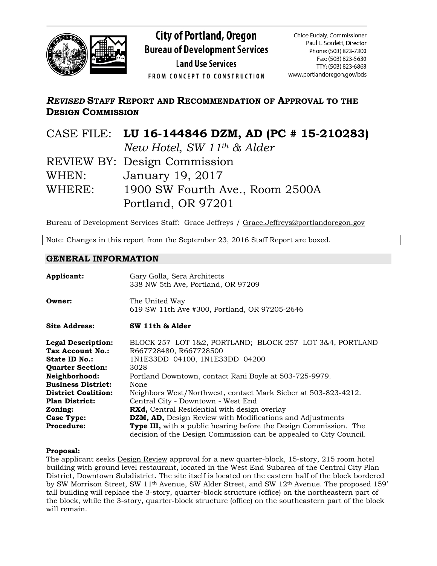

# *REVISED* **STAFF REPORT AND RECOMMENDATION OF APPROVAL TO THE DESIGN COMMISSION**

|        | CASE FILE: LU 16-144846 DZM, AD (PC # 15-210283) |
|--------|--------------------------------------------------|
|        | New Hotel, SW 11 <sup>th</sup> & Alder           |
|        | REVIEW BY: Design Commission                     |
| WHEN:  | January 19, 2017                                 |
| WHERE: | 1900 SW Fourth Ave., Room 2500A                  |
|        | Portland, OR 97201                               |

Bureau of Development Services Staff: Grace Jeffreys / [Grace.Jeffreys@portlandoregon.gov](mailto:Grace.Jeffreys@portlandoregon.gov)

Note: Changes in this report from the September 23, 2016 Staff Report are boxed.

### **GENERAL INFORMATION**

| Applicant:                 | Gary Golla, Sera Architects<br>338 NW 5th Ave, Portland, OR 97209                                                                              |
|----------------------------|------------------------------------------------------------------------------------------------------------------------------------------------|
| Owner:                     | The United Way<br>619 SW 11th Ave #300, Portland, OR 97205-2646                                                                                |
| <b>Site Address:</b>       | SW 11th & Alder                                                                                                                                |
| <b>Legal Description:</b>  | BLOCK 257 LOT 1&2, PORTLAND; BLOCK 257 LOT 3&4, PORTLAND                                                                                       |
| Tax Account No.:           | R667728480, R667728500                                                                                                                         |
| State ID No.:              | 1N1E33DD 04100, 1N1E33DD 04200                                                                                                                 |
| <b>Ouarter Section:</b>    | 3028                                                                                                                                           |
| Neighborhood:              | Portland Downtown, contact Rani Boyle at 503-725-9979.                                                                                         |
| <b>Business District:</b>  | None                                                                                                                                           |
| <b>District Coalition:</b> | Neighbors West/Northwest, contact Mark Sieber at 503-823-4212.                                                                                 |
| <b>Plan District:</b>      | Central City - Downtown - West End                                                                                                             |
| Zoning:                    | <b>RXd,</b> Central Residential with design overlay                                                                                            |
| <b>Case Type:</b>          | DZM, AD, Design Review with Modifications and Adjustments                                                                                      |
| <b>Procedure:</b>          | <b>Type III,</b> with a public hearing before the Design Commission. The<br>decision of the Design Commission can be appealed to City Council. |

### **Proposal:**

The applicant seeks Design Review approval for a new quarter-block, 15-story, 215 room hotel building with ground level restaurant, located in the West End Subarea of the Central City Plan District, Downtown Subdistrict. The site itself is located on the eastern half of the block bordered by SW Morrison Street, SW 11<sup>th</sup> Avenue, SW Alder Street, and SW 12<sup>th</sup> Avenue. The proposed 159' tall building will replace the 3-story, quarter-block structure (office) on the northeastern part of the block, while the 3-story, quarter-block structure (office) on the southeastern part of the block will remain.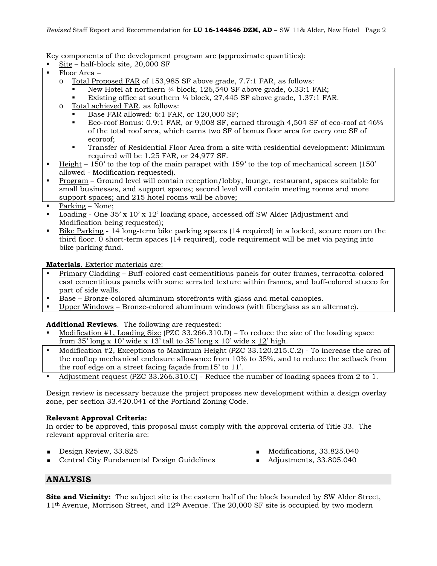Key components of the development program are (approximate quantities):

Site – half-block site, 20,000 SF

- Floor Area
	- o Total Proposed FAR of 153,985 SF above grade, 7.7:1 FAR, as follows:
		- New Hotel at northern ¼ block, 126,540 SF above grade, 6.33:1 FAR;
		- Existing office at southern ¼ block, 27,445 SF above grade, 1.37:1 FAR.
	- o Total achieved FAR, as follows:
		- Base FAR allowed: 6:1 FAR, or 120,000 SF;
		- Eco-roof Bonus: 0.9:1 FAR, or 9,008 SF, earned through 4,504 SF of eco-roof at 46% of the total roof area, which earns two SF of bonus floor area for every one SF of ecoroof;
		- Transfer of Residential Floor Area from a site with residential development: Minimum required will be 1.25 FAR, or 24,977 SF.
- Height 150' to the top of the main parapet with 159' to the top of mechanical screen (150' allowed - Modification requested).
- Program Ground level will contain reception/lobby, lounge, restaurant, spaces suitable for small businesses, and support spaces; second level will contain meeting rooms and more support spaces; and 215 hotel rooms will be above;
- Parking None;
- Loading One 35' x 10' x 12' loading space, accessed off SW Alder (Adjustment and Modification being requested);
- Bike Parking 14 long-term bike parking spaces (14 required) in a locked, secure room on the third floor. 0 short-term spaces (14 required), code requirement will be met via paying into bike parking fund.

**Materials**. Exterior materials are:

- **Primary Cladding Buff-colored cast cementitious panels for outer frames, terracotta-colored** cast cementitious panels with some serrated texture within frames, and buff-colored stucco for part of side walls.
- Base Bronze-colored aluminum storefronts with glass and metal canopies.
- Upper Windows Bronze-colored aluminum windows (with fiberglass as an alternate).

**Additional Reviews**. The following are requested:

- Modification #1, Loading Size (PZC 33.266.310.D) To reduce the size of the loading space from 35' long x 10' wide x 13' tall to 35' long x 10' wide x 12' high.
- Modification #2, Exceptions to Maximum Height (PZC 33.120.215.C.2) To increase the area of the rooftop mechanical enclosure allowance from 10% to 35%, and to reduce the setback from the roof edge on a street facing façade from15' to 11'.
- Adjustment request (PZC 33.266.310.C) Reduce the number of loading spaces from 2 to 1.

Design review is necessary because the project proposes new development within a design overlay zone, per section 33.420.041 of the Portland Zoning Code.

### **Relevant Approval Criteria:**

In order to be approved, this proposal must comply with the approval criteria of Title 33. The relevant approval criteria are:

- Design Review, 33.825
- **Central City Fundamental Design Guidelines**
- Modifications, 33.825.040
- Adjustments, 33.805.040

# **ANALYSIS**

**Site and Vicinity:** The subject site is the eastern half of the block bounded by SW Alder Street,  $11<sup>th</sup>$  Avenue, Morrison Street, and  $12<sup>th</sup>$  Avenue. The 20,000 SF site is occupied by two modern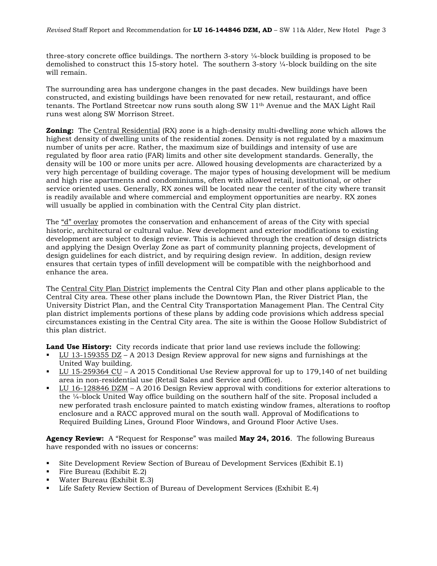three-story concrete office buildings. The northern 3-story  $\frac{1}{4}$ -block building is proposed to be demolished to construct this 15-story hotel. The southern 3-story  $\frac{1}{4}$ -block building on the site will remain.

The surrounding area has undergone changes in the past decades. New buildings have been constructed, and existing buildings have been renovated for new retail, restaurant, and office tenants. The Portland Streetcar now runs south along SW 11<sup>th</sup> Avenue and the MAX Light Rail runs west along SW Morrison Street.

**Zoning:** The Central Residential (RX) zone is a high-density multi-dwelling zone which allows the highest density of dwelling units of the residential zones. Density is not regulated by a maximum number of units per acre. Rather, the maximum size of buildings and intensity of use are regulated by floor area ratio (FAR) limits and other site development standards. Generally, the density will be 100 or more units per acre. Allowed housing developments are characterized by a very high percentage of building coverage. The major types of housing development will be medium and high rise apartments and condominiums, often with allowed retail, institutional, or other service oriented uses. Generally, RX zones will be located near the center of the city where transit is readily available and where commercial and employment opportunities are nearby. RX zones will usually be applied in combination with the Central City plan district.

The "d" overlay promotes the conservation and enhancement of areas of the City with special historic, architectural or cultural value. New development and exterior modifications to existing development are subject to design review. This is achieved through the creation of design districts and applying the Design Overlay Zone as part of community planning projects, development of design guidelines for each district, and by requiring design review. In addition, design review ensures that certain types of infill development will be compatible with the neighborhood and enhance the area.

The Central City Plan District implements the Central City Plan and other plans applicable to the Central City area. These other plans include the Downtown Plan, the River District Plan, the University District Plan, and the Central City Transportation Management Plan. The Central City plan district implements portions of these plans by adding code provisions which address special circumstances existing in the Central City area. The site is within the Goose Hollow Subdistrict of this plan district.

**Land Use History:** City records indicate that prior land use reviews include the following:

- LU 13-159355 DZ A 2013 Design Review approval for new signs and furnishings at the United Way building.
- $\blacksquare$  LU 15-259364 CU A 2015 Conditional Use Review approval for up to 179,140 of net building area in non-residential use (Retail Sales and Service and Office).
- LU 16-128846 DZM A 2016 Design Review approval with conditions for exterior alterations to the ¼-block United Way office building on the southern half of the site. Proposal included a new perforated trash enclosure painted to match existing window frames, alterations to rooftop enclosure and a RACC approved mural on the south wall. Approval of Modifications to Required Building Lines, Ground Floor Windows, and Ground Floor Active Uses.

**Agency Review:** A "Request for Response" was mailed **May 24, 2016**. The following Bureaus have responded with no issues or concerns:

- Site Development Review Section of Bureau of Development Services (Exhibit E.1)
- Fire Bureau (Exhibit E.2)
- Water Bureau (Exhibit E.3)
- Life Safety Review Section of Bureau of Development Services (Exhibit E.4)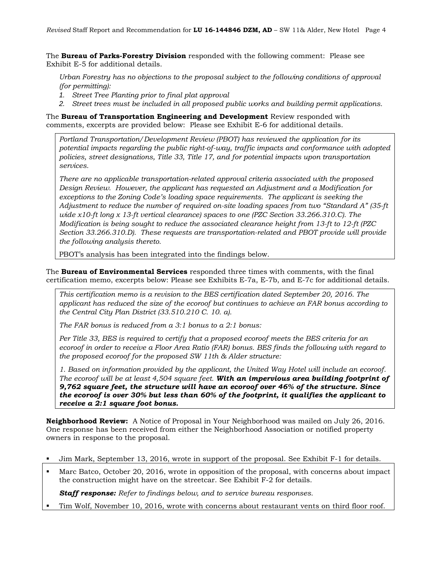The **Bureau of Parks-Forestry Division** responded with the following comment: Please see Exhibit E-5 for additional details.

*Urban Forestry has no objections to the proposal subject to the following conditions of approval (for permitting):* 

- *1. Street Tree Planting prior to final plat approval*
- *2. Street trees must be included in all proposed public works and building permit applications.*

The **Bureau of Transportation Engineering and Development** Review responded with comments, excerpts are provided below: Please see Exhibit E-6 for additional details.

*Portland Transportation/Development Review (PBOT) has reviewed the application for its potential impacts regarding the public right-of-way, traffic impacts and conformance with adopted policies, street designations, Title 33, Title 17, and for potential impacts upon transportation services.*

*There are no applicable transportation-related approval criteria associated with the proposed Design Review. However, the applicant has requested an Adjustment and a Modification for exceptions to the Zoning Code's loading space requirements. The applicant is seeking the Adjustment to reduce the number of required on-site loading spaces from two "Standard A" (35-ft wide x10-ft long x 13-ft vertical clearance) spaces to one (PZC Section 33.266.310.C). The Modification is being sought to reduce the associated clearance height from 13-ft to 12-ft (PZC Section 33.266.310.D). These requests are transportation-related and PBOT provide will provide the following analysis thereto.*

PBOT's analysis has been integrated into the findings below.

The **Bureau of Environmental Services** responded three times with comments, with the final certification memo, excerpts below: Please see Exhibits E-7a, E-7b, and E-7c for additional details.

*This certification memo is a revision to the BES certification dated September 20, 2016. The applicant has reduced the size of the ecoroof but continues to achieve an FAR bonus according to the Central City Plan District (33.510.210 C. 10. a).* 

*The FAR bonus is reduced from a 3:1 bonus to a 2:1 bonus:* 

*Per Title 33, BES is required to certify that a proposed ecoroof meets the BES criteria for an ecoroof in order to receive a Floor Area Ratio (FAR) bonus. BES finds the following with regard to the proposed ecoroof for the proposed SW 11th & Alder structure:* 

*1. Based on information provided by the applicant, the United Way Hotel will include an ecoroof. The ecoroof will be at least 4,504 square feet. With an impervious area building footprint of 9,762 square feet, the structure will have an ecoroof over 46% of the structure. Since the ecoroof is over 30% but less than 60% of the footprint, it qualifies the applicant to receive a 2:1 square foot bonus.* 

**Neighborhood Review:** A Notice of Proposal in Your Neighborhood was mailed on July 26, 2016. One response has been received from either the Neighborhood Association or notified property owners in response to the proposal.

- Jim Mark, September 13, 2016, wrote in support of the proposal. See Exhibit F-1 for details.
- Marc Batco, October 20, 2016, wrote in opposition of the proposal, with concerns about impact the construction might have on the streetcar. See Exhibit F-2 for details.

*Staff response: Refer to findings below, and to service bureau responses.*

Tim Wolf, November 10, 2016, wrote with concerns about restaurant vents on third floor roof.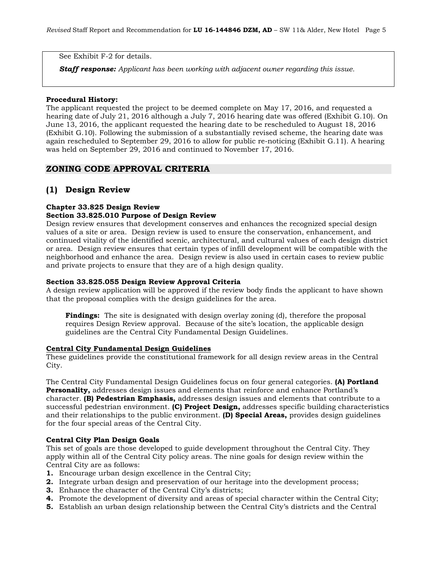See Exhibit F-2 for details.

*Staff response: Applicant has been working with adjacent owner regarding this issue.*

#### **Procedural History:**

The applicant requested the project to be deemed complete on May 17, 2016, and requested a hearing date of July 21, 2016 although a July 7, 2016 hearing date was offered (Exhibit G.10). On June 13, 2016, the applicant requested the hearing date to be rescheduled to August 18, 2016 (Exhibit G.10). Following the submission of a substantially revised scheme, the hearing date was again rescheduled to September 29, 2016 to allow for public re-noticing (Exhibit G.11). A hearing was held on September 29, 2016 and continued to November 17, 2016.

## **ZONING CODE APPROVAL CRITERIA**

## **(1) Design Review**

### **Chapter 33.825 Design Review**

### **Section 33.825.010 Purpose of Design Review**

Design review ensures that development conserves and enhances the recognized special design values of a site or area. Design review is used to ensure the conservation, enhancement, and continued vitality of the identified scenic, architectural, and cultural values of each design district or area. Design review ensures that certain types of infill development will be compatible with the neighborhood and enhance the area. Design review is also used in certain cases to review public and private projects to ensure that they are of a high design quality.

#### **Section 33.825.055 Design Review Approval Criteria**

A design review application will be approved if the review body finds the applicant to have shown that the proposal complies with the design guidelines for the area.

**Findings:** The site is designated with design overlay zoning (d), therefore the proposal requires Design Review approval. Because of the site's location, the applicable design guidelines are the Central City Fundamental Design Guidelines.

#### **Central City Fundamental Design Guidelines**

These guidelines provide the constitutional framework for all design review areas in the Central City.

The Central City Fundamental Design Guidelines focus on four general categories. **(A) Portland Personality,** addresses design issues and elements that reinforce and enhance Portland's character. **(B) Pedestrian Emphasis,** addresses design issues and elements that contribute to a successful pedestrian environment. **(C) Project Design,** addresses specific building characteristics and their relationships to the public environment. **(D) Special Areas,** provides design guidelines for the four special areas of the Central City.

#### **Central City Plan Design Goals**

This set of goals are those developed to guide development throughout the Central City. They apply within all of the Central City policy areas. The nine goals for design review within the Central City are as follows:

- **1.** Encourage urban design excellence in the Central City;
- **2.** Integrate urban design and preservation of our heritage into the development process;
- **3.** Enhance the character of the Central City's districts;
- **4.** Promote the development of diversity and areas of special character within the Central City;
- **5.** Establish an urban design relationship between the Central City's districts and the Central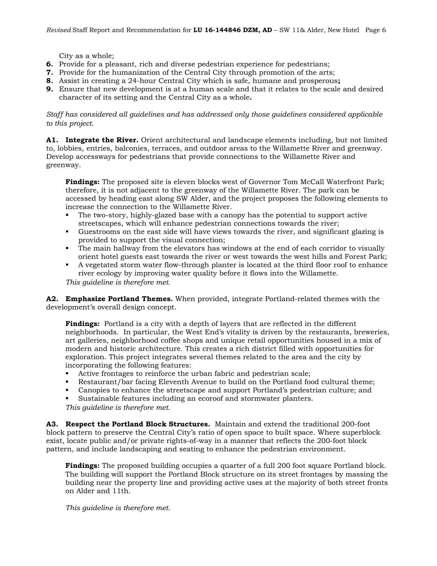City as a whole;

- **6.** Provide for a pleasant, rich and diverse pedestrian experience for pedestrians;
- **7.** Provide for the humanization of the Central City through promotion of the arts;
- **8.** Assist in creating a 24-hour Central City which is safe, humane and prosperous**;**
- **9.** Ensure that new development is at a human scale and that it relates to the scale and desired character of its setting and the Central City as a whole**.**

*Staff has considered all guidelines and has addressed only those guidelines considered applicable to this project.*

**A1. Integrate the River.** Orient architectural and landscape elements including, but not limited to, lobbies, entries, balconies, terraces, and outdoor areas to the Willamette River and greenway. Develop accessways for pedestrians that provide connections to the Willamette River and greenway.

**Findings:** The proposed site is eleven blocks west of Governor Tom McCall Waterfront Park; therefore, it is not adjacent to the greenway of the Willamette River. The park can be accessed by heading east along SW Alder, and the project proposes the following elements to increase the connection to the Willamette River.

- The two-story, highly-glazed base with a canopy has the potential to support active streetscapes, which will enhance pedestrian connections towards the river;
- Guestrooms on the east side will have views towards the river, and significant glazing is provided to support the visual connection;
- The main hallway from the elevators has windows at the end of each corridor to visually orient hotel guests east towards the river or west towards the west hills and Forest Park;
- A vegetated storm water flow-through planter is located at the third floor roof to enhance river ecology by improving water quality before it flows into the Willamette.

*This guideline is therefore met.*

**A2. Emphasize Portland Themes.** When provided, integrate Portland-related themes with the development's overall design concept.

**Findings:** Portland is a city with a depth of layers that are reflected in the different neighborhoods. In particular, the West End's vitality is driven by the restaurants, breweries, art galleries, neighborhood coffee shops and unique retail opportunities housed in a mix of modern and historic architecture. This creates a rich district filled with opportunities for exploration. This project integrates several themes related to the area and the city by incorporating the following features:

- Active frontages to reinforce the urban fabric and pedestrian scale;
- Restaurant/bar facing Eleventh Avenue to build on the Portland food cultural theme;
- Canopies to enhance the streetscape and support Portland's pedestrian culture; and
- Sustainable features including an ecoroof and stormwater planters.

*This guideline is therefore met.*

**A3. Respect the Portland Block Structures.** Maintain and extend the traditional 200-foot block pattern to preserve the Central City's ratio of open space to built space. Where superblock exist, locate public and/or private rights-of-way in a manner that reflects the 200-foot block pattern, and include landscaping and seating to enhance the pedestrian environment.

**Findings:** The proposed building occupies a quarter of a full 200 foot square Portland block. The building will support the Portland Block structure on its street frontages by massing the building near the property line and providing active uses at the majority of both street fronts on Alder and 11th.

*This guideline is therefore met.*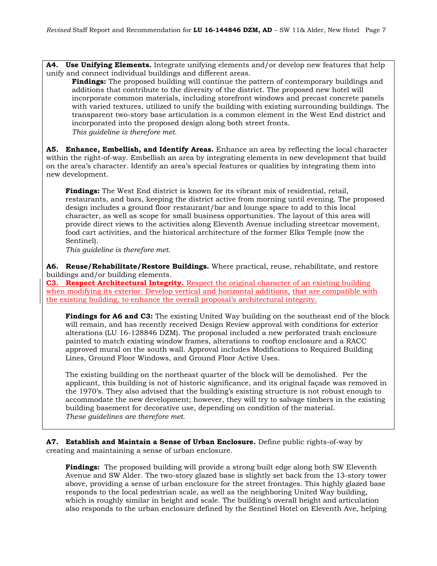**A4. Use Unifying Elements.** Integrate unifying elements and/or develop new features that help unify and connect individual buildings and different areas.

**Findings:** The proposed building will continue the pattern of contemporary buildings and additions that contribute to the diversity of the district. The proposed new hotel will incorporate common materials, including storefront windows and precast concrete panels with varied textures, utilized to unify the building with existing surrounding buildings. The transparent two-story base articulation is a common element in the West End district and incorporated into the proposed design along both street fronts. *This guideline is therefore met.*

**A5. Enhance, Embellish, and Identify Areas.** Enhance an area by reflecting the local character within the right-of-way. Embellish an area by integrating elements in new development that build on the area's character. Identify an area's special features or qualities by integrating them into new development.

**Findings:** The West End district is known for its vibrant mix of residential, retail, restaurants, and bars, keeping the district active from morning until evening. The proposed design includes a ground floor restaurant/bar and lounge space to add to this local character, as well as scope for small business opportunities. The layout of this area will provide direct views to the activities along Eleventh Avenue including streetcar movement, food cart activities, and the historical architecture of the former Elks Temple (now the Sentinel).

*This guideline is therefore met.*

**A6. Reuse/Rehabilitate/Restore Buildings.** Where practical, reuse, rehabilitate, and restore buildings and/or building elements.

**C3. Respect Architectural Integrity.** Respect the original character of an existing building when modifying its exterior. Develop vertical and horizontal additions, that are compatible with the existing building, to enhance the overall proposal's architectural integrity.

**Findings for A6 and C3:** The existing United Way building on the southeast end of the block will remain, and has recently received Design Review approval with conditions for exterior alterations (LU 16-128846 DZM). The proposal included a new perforated trash enclosure painted to match existing window frames, alterations to rooftop enclosure and a RACC approved mural on the south wall. Approval includes Modifications to Required Building Lines, Ground Floor Windows, and Ground Floor Active Uses.

The existing building on the northeast quarter of the block will be demolished. Per the applicant, this building is not of historic significance, and its original façade was removed in the 1970's. They also advised that the building's existing structure is not robust enough to accommodate the new development; however, they will try to salvage timbers in the existing building basement for decorative use, depending on condition of the material. *These guidelines are therefore met.*

**A7. Establish and Maintain a Sense of Urban Enclosure.** Define public rights-of-way by creating and maintaining a sense of urban enclosure.

**Findings:** The proposed building will provide a strong built edge along both SW Eleventh Avenue and SW Alder. The two-story glazed base is slightly set back from the 13-story tower above, providing a sense of urban enclosure for the street frontages. This highly glazed base responds to the local pedestrian scale, as well as the neighboring United Way building, which is roughly similar in height and scale. The building's overall height and articulation also responds to the urban enclosure defined by the Sentinel Hotel on Eleventh Ave, helping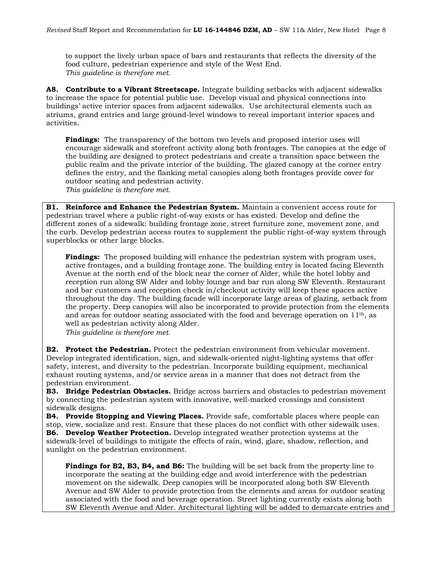to support the lively urban space of bars and restaurants that reflects the diversity of the food culture, pedestrian experience and style of the West End. *This guideline is therefore met.*

**A8. Contribute to a Vibrant Streetscape.** Integrate building setbacks with adjacent sidewalks to increase the space for potential public use. Develop visual and physical connections into buildings' active interior spaces from adjacent sidewalks. Use architectural elements such as atriums, grand entries and large ground-level windows to reveal important interior spaces and activities.

**Findings:** The transparency of the bottom two levels and proposed interior uses will encourage sidewalk and storefront activity along both frontages. The canopies at the edge of the building are designed to protect pedestrians and create a transition space between the public realm and the private interior of the building. The glazed canopy at the corner entry defines the entry, and the flanking metal canopies along both frontages provide cover for outdoor seating and pedestrian activity.

*This guideline is therefore met.*

**B1. Reinforce and Enhance the Pedestrian System.** Maintain a convenient access route for pedestrian travel where a public right-of-way exists or has existed. Develop and define the different zones of a sidewalk: building frontage zone, street furniture zone, movement zone, and the curb. Develop pedestrian access routes to supplement the public right-of-way system through superblocks or other large blocks.

**Findings:** The proposed building will enhance the pedestrian system with program uses, active frontages, and a building frontage zone. The building entry is located facing Eleventh Avenue at the north end of the block near the corner of Alder, while the hotel lobby and reception run along SW Alder and lobby lounge and bar run along SW Eleventh. Restaurant and bar customers and reception check in/checkout activity will keep these spaces active throughout the day. The building facade will incorporate large areas of glazing, setback from the property. Deep canopies will also be incorporated to provide protection from the elements and areas for outdoor seating associated with the food and beverage operation on  $11<sup>th</sup>$ , as well as pedestrian activity along Alder.

*This guideline is therefore met.*

**B2. Protect the Pedestrian.** Protect the pedestrian environment from vehicular movement. Develop integrated identification, sign, and sidewalk-oriented night-lighting systems that offer safety, interest, and diversity to the pedestrian. Incorporate building equipment, mechanical exhaust routing systems, and/or service areas in a manner that does not detract from the pedestrian environment.

**B3. Bridge Pedestrian Obstacles.** Bridge across barriers and obstacles to pedestrian movement by connecting the pedestrian system with innovative, well-marked crossings and consistent sidewalk designs.

**B4. Provide Stopping and Viewing Places.** Provide safe, comfortable places where people can stop, view, socialize and rest. Ensure that these places do not conflict with other sidewalk uses. **B6. Develop Weather Protection.** Develop integrated weather protection systems at the sidewalk-level of buildings to mitigate the effects of rain, wind, glare, shadow, reflection, and sunlight on the pedestrian environment.

**Findings for B2, B3, B4, and B6:** The building will be set back from the property line to incorporate the seating at the building edge and avoid interference with the pedestrian movement on the sidewalk. Deep canopies will be incorporated along both SW Eleventh Avenue and SW Alder to provide protection from the elements and areas for outdoor seating associated with the food and beverage operation. Street lighting currently exists along both SW Eleventh Avenue and Alder. Architectural lighting will be added to demarcate entries and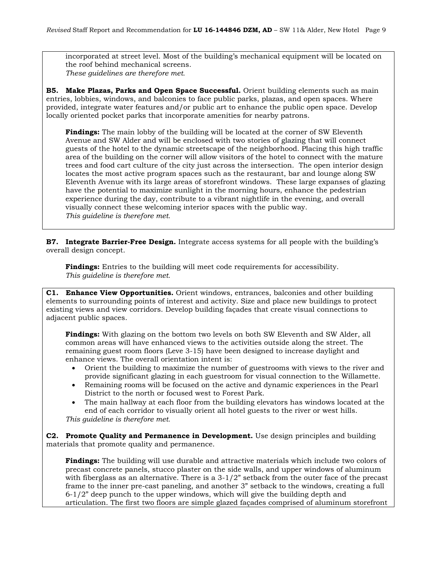incorporated at street level. Most of the building's mechanical equipment will be located on the roof behind mechanical screens. *These guidelines are therefore met.*

**B5. Make Plazas, Parks and Open Space Successful.** Orient building elements such as main entries, lobbies, windows, and balconies to face public parks, plazas, and open spaces. Where provided, integrate water features and/or public art to enhance the public open space. Develop locally oriented pocket parks that incorporate amenities for nearby patrons.

**Findings:** The main lobby of the building will be located at the corner of SW Eleventh Avenue and SW Alder and will be enclosed with two stories of glazing that will connect guests of the hotel to the dynamic streetscape of the neighborhood. Placing this high traffic area of the building on the corner will allow visitors of the hotel to connect with the mature trees and food cart culture of the city just across the intersection. The open interior design locates the most active program spaces such as the restaurant, bar and lounge along SW Eleventh Avenue with its large areas of storefront windows. These large expanses of glazing have the potential to maximize sunlight in the morning hours, enhance the pedestrian experience during the day, contribute to a vibrant nightlife in the evening, and overall visually connect these welcoming interior spaces with the public way. *This guideline is therefore met.*

**B7. Integrate Barrier-Free Design.** Integrate access systems for all people with the building's overall design concept.

**Findings:** Entries to the building will meet code requirements for accessibility. *This guideline is therefore met.*

**C1. Enhance View Opportunities.** Orient windows, entrances, balconies and other building elements to surrounding points of interest and activity. Size and place new buildings to protect existing views and view corridors. Develop building façades that create visual connections to adjacent public spaces.

**Findings:** With glazing on the bottom two levels on both SW Eleventh and SW Alder, all common areas will have enhanced views to the activities outside along the street. The remaining guest room floors (Leve 3-15) have been designed to increase daylight and enhance views. The overall orientation intent is:

- Orient the building to maximize the number of guestrooms with views to the river and provide significant glazing in each guestroom for visual connection to the Willamette.
- Remaining rooms will be focused on the active and dynamic experiences in the Pearl District to the north or focused west to Forest Park.
- The main hallway at each floor from the building elevators has windows located at the end of each corridor to visually orient all hotel guests to the river or west hills.

*This guideline is therefore met.* 

**C2. Promote Quality and Permanence in Development.** Use design principles and building materials that promote quality and permanence.

**Findings:** The building will use durable and attractive materials which include two colors of precast concrete panels, stucco plaster on the side walls, and upper windows of aluminum with fiberglass as an alternative. There is a  $3-1/2$ " setback from the outer face of the precast frame to the inner pre-cast paneling, and another 3" setback to the windows, creating a full 6-1/2" deep punch to the upper windows, which will give the building depth and articulation. The first two floors are simple glazed façades comprised of aluminum storefront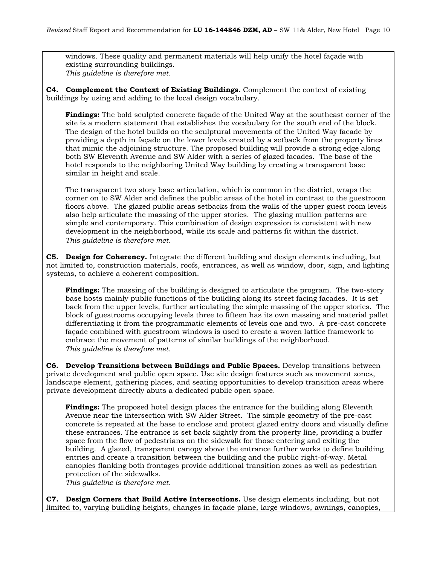windows. These quality and permanent materials will help unify the hotel façade with existing surrounding buildings. *This guideline is therefore met.* 

**C4. Complement the Context of Existing Buildings.** Complement the context of existing buildings by using and adding to the local design vocabulary.

**Findings:** The bold sculpted concrete façade of the United Way at the southeast corner of the site is a modern statement that establishes the vocabulary for the south end of the block. The design of the hotel builds on the sculptural movements of the United Way facade by providing a depth in façade on the lower levels created by a setback from the property lines that mimic the adjoining structure. The proposed building will provide a strong edge along both SW Eleventh Avenue and SW Alder with a series of glazed facades. The base of the hotel responds to the neighboring United Way building by creating a transparent base similar in height and scale.

The transparent two story base articulation, which is common in the district, wraps the corner on to SW Alder and defines the public areas of the hotel in contrast to the guestroom floors above. The glazed public areas setbacks from the walls of the upper guest room levels also help articulate the massing of the upper stories. The glazing mullion patterns are simple and contemporary. This combination of design expression is consistent with new development in the neighborhood, while its scale and patterns fit within the district. *This guideline is therefore met.* 

**C5. Design for Coherency.** Integrate the different building and design elements including, but not limited to, construction materials, roofs, entrances, as well as window, door, sign, and lighting systems, to achieve a coherent composition.

**Findings:** The massing of the building is designed to articulate the program. The two-story base hosts mainly public functions of the building along its street facing facades. It is set back from the upper levels, further articulating the simple massing of the upper stories. The block of guestrooms occupying levels three to fifteen has its own massing and material pallet differentiating it from the programmatic elements of levels one and two. A pre-cast concrete façade combined with guestroom windows is used to create a woven lattice framework to embrace the movement of patterns of similar buildings of the neighborhood. *This guideline is therefore met.* 

**C6. Develop Transitions between Buildings and Public Spaces.** Develop transitions between private development and public open space. Use site design features such as movement zones, landscape element, gathering places, and seating opportunities to develop transition areas where private development directly abuts a dedicated public open space.

**Findings:** The proposed hotel design places the entrance for the building along Eleventh Avenue near the intersection with SW Alder Street. The simple geometry of the pre-cast concrete is repeated at the base to enclose and protect glazed entry doors and visually define these entrances. The entrance is set back slightly from the property line, providing a buffer space from the flow of pedestrians on the sidewalk for those entering and exiting the building. A glazed, transparent canopy above the entrance further works to define building entries and create a transition between the building and the public right-of-way. Metal canopies flanking both frontages provide additional transition zones as well as pedestrian protection of the sidewalks.

*This guideline is therefore met.* 

**C7. Design Corners that Build Active Intersections.** Use design elements including, but not limited to, varying building heights, changes in façade plane, large windows, awnings, canopies,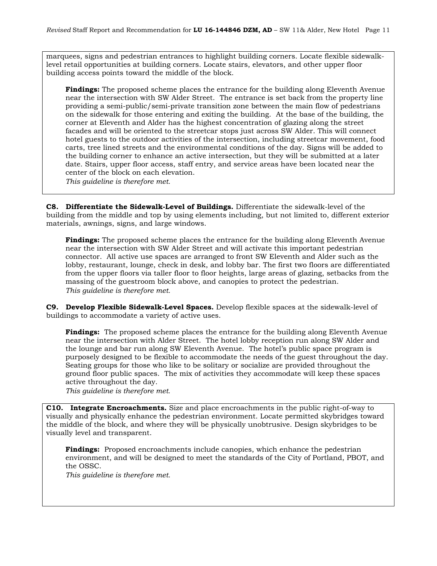marquees, signs and pedestrian entrances to highlight building corners. Locate flexible sidewalklevel retail opportunities at building corners. Locate stairs, elevators, and other upper floor building access points toward the middle of the block.

**Findings:** The proposed scheme places the entrance for the building along Eleventh Avenue near the intersection with SW Alder Street. The entrance is set back from the property line providing a semi-public/semi-private transition zone between the main flow of pedestrians on the sidewalk for those entering and exiting the building. At the base of the building, the corner at Eleventh and Alder has the highest concentration of glazing along the street facades and will be oriented to the streetcar stops just across SW Alder. This will connect hotel guests to the outdoor activities of the intersection, including streetcar movement, food carts, tree lined streets and the environmental conditions of the day. Signs will be added to the building corner to enhance an active intersection, but they will be submitted at a later date. Stairs, upper floor access, staff entry, and service areas have been located near the center of the block on each elevation.

*This guideline is therefore met.*

**C8. Differentiate the Sidewalk-Level of Buildings.** Differentiate the sidewalk-level of the building from the middle and top by using elements including, but not limited to, different exterior materials, awnings, signs, and large windows.

**Findings:** The proposed scheme places the entrance for the building along Eleventh Avenue near the intersection with SW Alder Street and will activate this important pedestrian connector. All active use spaces are arranged to front SW Eleventh and Alder such as the lobby, restaurant, lounge, check in desk, and lobby bar. The first two floors are differentiated from the upper floors via taller floor to floor heights, large areas of glazing, setbacks from the massing of the guestroom block above, and canopies to protect the pedestrian. *This guideline is therefore met.*

**C9. Develop Flexible Sidewalk-Level Spaces.** Develop flexible spaces at the sidewalk-level of buildings to accommodate a variety of active uses.

**Findings:** The proposed scheme places the entrance for the building along Eleventh Avenue near the intersection with Alder Street. The hotel lobby reception run along SW Alder and the lounge and bar run along SW Eleventh Avenue. The hotel's public space program is purposely designed to be flexible to accommodate the needs of the guest throughout the day. Seating groups for those who like to be solitary or socialize are provided throughout the ground floor public spaces. The mix of activities they accommodate will keep these spaces active throughout the day.

*This guideline is therefore met.*

**C10. Integrate Encroachments.** Size and place encroachments in the public right-of-way to visually and physically enhance the pedestrian environment. Locate permitted skybridges toward the middle of the block, and where they will be physically unobtrusive. Design skybridges to be visually level and transparent.

**Findings:** Proposed encroachments include canopies, which enhance the pedestrian environment, and will be designed to meet the standards of the City of Portland, PBOT, and the OSSC.

*This guideline is therefore met.*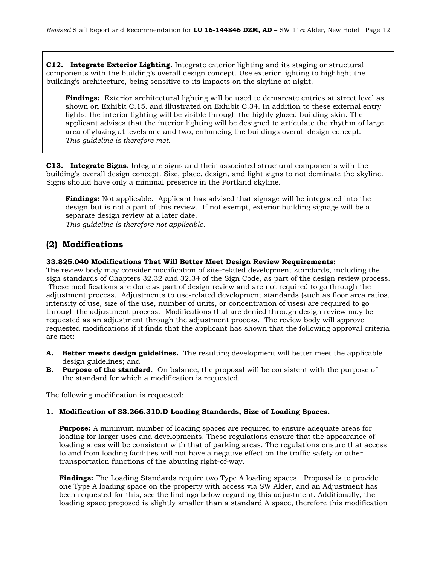**C12. Integrate Exterior Lighting.** Integrate exterior lighting and its staging or structural components with the building's overall design concept. Use exterior lighting to highlight the building's architecture, being sensitive to its impacts on the skyline at night.

**Findings:** Exterior architectural lighting will be used to demarcate entries at street level as shown on Exhibit C.15. and illustrated on Exhibit C.34. In addition to these external entry lights, the interior lighting will be visible through the highly glazed building skin. The applicant advises that the interior lighting will be designed to articulate the rhythm of large area of glazing at levels one and two, enhancing the buildings overall design concept. *This guideline is therefore met.*

**C13. Integrate Signs.** Integrate signs and their associated structural components with the building's overall design concept. Size, place, design, and light signs to not dominate the skyline. Signs should have only a minimal presence in the Portland skyline.

**Findings:** Not applicable. Applicant has advised that signage will be integrated into the design but is not a part of this review. If not exempt, exterior building signage will be a separate design review at a later date. *This guideline is therefore not applicable.*

# **(2) Modifications**

### **33.825.040 Modifications That Will Better Meet Design Review Requirements:**

The review body may consider modification of site-related development standards, including the sign standards of Chapters 32.32 and 32.34 of the Sign Code, as part of the design review process. These modifications are done as part of design review and are not required to go through the adjustment process. Adjustments to use-related development standards (such as floor area ratios, intensity of use, size of the use, number of units, or concentration of uses) are required to go through the adjustment process. Modifications that are denied through design review may be requested as an adjustment through the adjustment process. The review body will approve requested modifications if it finds that the applicant has shown that the following approval criteria are met:

- **A. Better meets design guidelines.** The resulting development will better meet the applicable design guidelines; and
- **B. Purpose of the standard.** On balance, the proposal will be consistent with the purpose of the standard for which a modification is requested.

The following modification is requested:

### **1. Modification of 33.266.310.D Loading Standards, Size of Loading Spaces.**

**Purpose:** A minimum number of loading spaces are required to ensure adequate areas for loading for larger uses and developments. These regulations ensure that the appearance of loading areas will be consistent with that of parking areas. The regulations ensure that access to and from loading facilities will not have a negative effect on the traffic safety or other transportation functions of the abutting right-of-way.

**Findings:** The Loading Standards require two Type A loading spaces. Proposal is to provide one Type A loading space on the property with access via SW Alder, and an Adjustment has been requested for this, see the findings below regarding this adjustment. Additionally, the loading space proposed is slightly smaller than a standard A space, therefore this modification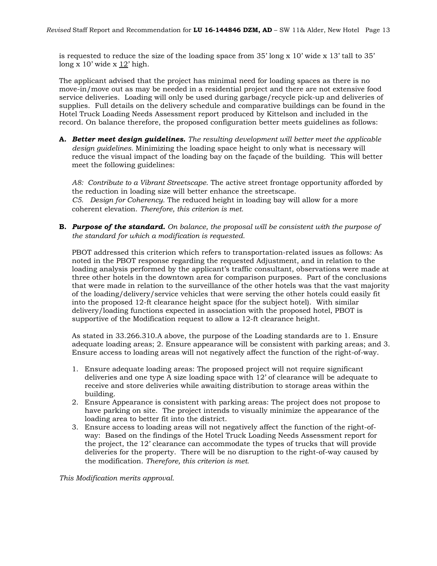is requested to reduce the size of the loading space from 35' long x 10' wide x 13' tall to 35' long x 10' wide x 12' high.

The applicant advised that the project has minimal need for loading spaces as there is no move-in/move out as may be needed in a residential project and there are not extensive food service deliveries. Loading will only be used during garbage/recycle pick-up and deliveries of supplies. Full details on the delivery schedule and comparative buildings can be found in the Hotel Truck Loading Needs Assessment report produced by Kittelson and included in the record. On balance therefore, the proposed configuration better meets guidelines as follows:

**A.** *Better meet design guidelines. The resulting development will better meet the applicable design guidelines.* Minimizing the loading space height to only what is necessary will reduce the visual impact of the loading bay on the façade of the building. This will better meet the following guidelines:

*A8: Contribute to a Vibrant Streetscape.* The active street frontage opportunity afforded by the reduction in loading size will better enhance the streetscape. *C5. Design for Coherency.* The reduced height in loading bay will allow for a more coherent elevation. *Therefore, this criterion is met.*

**B.** *Purpose of the standard. On balance, the proposal will be consistent with the purpose of the standard for which a modification is requested.*

PBOT addressed this criterion which refers to transportation-related issues as follows: As noted in the PBOT response regarding the requested Adjustment, and in relation to the loading analysis performed by the applicant's traffic consultant, observations were made at three other hotels in the downtown area for comparison purposes. Part of the conclusions that were made in relation to the surveillance of the other hotels was that the vast majority of the loading/delivery/service vehicles that were serving the other hotels could easily fit into the proposed 12-ft clearance height space (for the subject hotel). With similar delivery/loading functions expected in association with the proposed hotel, PBOT is supportive of the Modification request to allow a 12-ft clearance height.

As stated in 33.266.310.A above, the purpose of the Loading standards are to 1. Ensure adequate loading areas; 2. Ensure appearance will be consistent with parking areas; and 3. Ensure access to loading areas will not negatively affect the function of the right-of-way.

- 1. Ensure adequate loading areas: The proposed project will not require significant deliveries and one type A size loading space with 12' of clearance will be adequate to receive and store deliveries while awaiting distribution to storage areas within the building.
- 2. Ensure Appearance is consistent with parking areas: The project does not propose to have parking on site. The project intends to visually minimize the appearance of the loading area to better fit into the district.
- 3. Ensure access to loading areas will not negatively affect the function of the right-ofway: Based on the findings of the Hotel Truck Loading Needs Assessment report for the project, the 12' clearance can accommodate the types of trucks that will provide deliveries for the property. There will be no disruption to the right-of-way caused by the modification. *Therefore, this criterion is met.*

*This Modification merits approval.*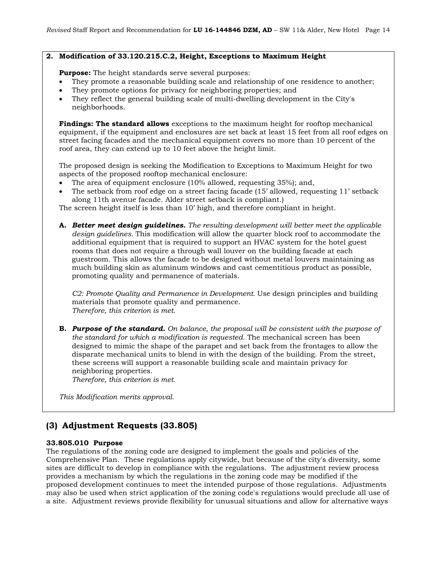### **2. Modification of 33.120.215.C.2, Height, Exceptions to Maximum Height**

**Purpose:** The height standards serve several purposes:

- They promote a reasonable building scale and relationship of one residence to another;
- They promote options for privacy for neighboring properties; and
- They reflect the general building scale of multi-dwelling development in the City's neighborhoods.

**Findings: The standard allows** exceptions to the maximum height for rooftop mechanical equipment, if the equipment and enclosures are set back at least 15 feet from all roof edges on street facing facades and the mechanical equipment covers no more than 10 percent of the roof area, they can extend up to 10 feet above the height limit.

The proposed design is seeking the Modification to Exceptions to Maximum Height for two aspects of the proposed rooftop mechanical enclosure:

- The area of equipment enclosure (10% allowed, requesting 35%); and,
- The setback from roof edge on a street facing facade (15' allowed, requesting 11' setback along 11th avenue facade. Alder street setback is compliant.)

The screen height itself is less than 10' high, and therefore compliant in height.

**A.** *Better meet design guidelines. The resulting development will better meet the applicable design guidelines.* This modification will allow the quarter block roof to accommodate the additional equipment that is required to support an HVAC system for the hotel guest rooms that does not require a through wall louver on the building facade at each guestroom. This allows the facade to be designed without metal louvers maintaining as much building skin as aluminum windows and cast cementitious product as possible, promoting quality and permanence of materials.

*C2: Promote Quality and Permanence in Development.* Use design principles and building materials that promote quality and permanence. *Therefore, this criterion is met.*

**B.** *Purpose of the standard. On balance, the proposal will be consistent with the purpose of the standard for which a modification is requested.* The mechanical screen has been designed to mimic the shape of the parapet and set back from the frontages to allow the disparate mechanical units to blend in with the design of the building. From the street, these screens will support a reasonable building scale and maintain privacy for neighboring properties.

*Therefore, this criterion is met.*

*This Modification merits approval.*

# **(3) Adjustment Requests (33.805)**

### **33.805.010 Purpose**

The regulations of the zoning code are designed to implement the goals and policies of the Comprehensive Plan. These regulations apply citywide, but because of the city's diversity, some sites are difficult to develop in compliance with the regulations. The adjustment review process provides a mechanism by which the regulations in the zoning code may be modified if the proposed development continues to meet the intended purpose of those regulations. Adjustments may also be used when strict application of the zoning code's regulations would preclude all use of a site. Adjustment reviews provide flexibility for unusual situations and allow for alternative ways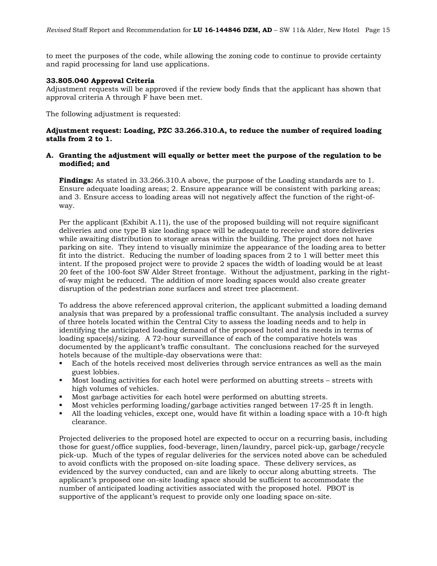to meet the purposes of the code, while allowing the zoning code to continue to provide certainty and rapid processing for land use applications.

### **33.805.040 Approval Criteria**

Adjustment requests will be approved if the review body finds that the applicant has shown that approval criteria A through F have been met.

The following adjustment is requested:

### **Adjustment request: Loading, PZC 33.266.310.A, to reduce the number of required loading stalls from 2 to 1.**

#### **A. Granting the adjustment will equally or better meet the purpose of the regulation to be modified; and**

**Findings:** As stated in 33.266.310.A above, the purpose of the Loading standards are to 1. Ensure adequate loading areas; 2. Ensure appearance will be consistent with parking areas; and 3. Ensure access to loading areas will not negatively affect the function of the right-ofway.

Per the applicant (Exhibit A.11), the use of the proposed building will not require significant deliveries and one type B size loading space will be adequate to receive and store deliveries while awaiting distribution to storage areas within the building. The project does not have parking on site. They intend to visually minimize the appearance of the loading area to better fit into the district. Reducing the number of loading spaces from 2 to 1 will better meet this intent. If the proposed project were to provide 2 spaces the width of loading would be at least 20 feet of the 100-foot SW Alder Street frontage. Without the adjustment, parking in the rightof-way might be reduced. The addition of more loading spaces would also create greater disruption of the pedestrian zone surfaces and street tree placement.

To address the above referenced approval criterion, the applicant submitted a loading demand analysis that was prepared by a professional traffic consultant. The analysis included a survey of three hotels located within the Central City to assess the loading needs and to help in identifying the anticipated loading demand of the proposed hotel and its needs in terms of loading space(s)/sizing. A 72-hour surveillance of each of the comparative hotels was documented by the applicant's traffic consultant. The conclusions reached for the surveyed hotels because of the multiple-day observations were that:

- Each of the hotels received most deliveries through service entrances as well as the main guest lobbies.
- Most loading activities for each hotel were performed on abutting streets streets with high volumes of vehicles.
- Most garbage activities for each hotel were performed on abutting streets.
- Most vehicles performing loading/garbage activities ranged between 17-25 ft in length.
- All the loading vehicles, except one, would have fit within a loading space with a 10-ft high clearance.

Projected deliveries to the proposed hotel are expected to occur on a recurring basis, including those for guest/office supplies, food-beverage, linen/laundry, parcel pick-up, garbage/recycle pick-up. Much of the types of regular deliveries for the services noted above can be scheduled to avoid conflicts with the proposed on-site loading space. These delivery services, as evidenced by the survey conducted, can and are likely to occur along abutting streets. The applicant's proposed one on-site loading space should be sufficient to accommodate the number of anticipated loading activities associated with the proposed hotel. PBOT is supportive of the applicant's request to provide only one loading space on-site.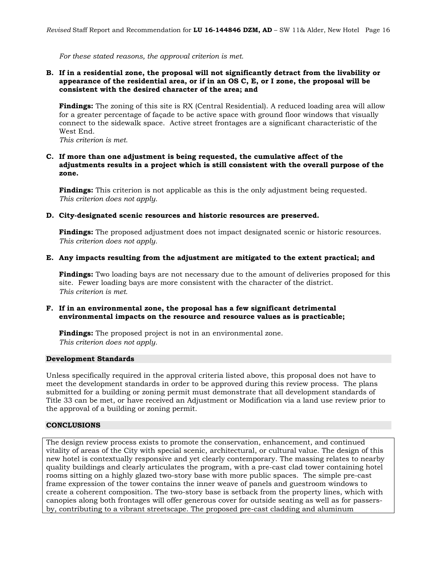*For these stated reasons, the approval criterion is met.*

### **B. If in a residential zone, the proposal will not significantly detract from the livability or appearance of the residential area, or if in an OS C, E, or I zone, the proposal will be consistent with the desired character of the area; and**

**Findings:** The zoning of this site is RX (Central Residential). A reduced loading area will allow for a greater percentage of façade to be active space with ground floor windows that visually connect to the sidewalk space. Active street frontages are a significant characteristic of the West End.

*This criterion is met.* 

### **C. If more than one adjustment is being requested, the cumulative affect of the adjustments results in a project which is still consistent with the overall purpose of the zone.**

**Findings:** This criterion is not applicable as this is the only adjustment being requested. *This criterion does not apply.*

### **D. City-designated scenic resources and historic resources are preserved.**

**Findings:** The proposed adjustment does not impact designated scenic or historic resources. *This criterion does not apply.*

#### **E. Any impacts resulting from the adjustment are mitigated to the extent practical; and**

**Findings:** Two loading bays are not necessary due to the amount of deliveries proposed for this site. Fewer loading bays are more consistent with the character of the district. *This criterion is met.* 

### **F. If in an environmental zone, the proposal has a few significant detrimental environmental impacts on the resource and resource values as is practicable;**

**Findings:** The proposed project is not in an environmental zone. *This criterion does not apply.*

#### **Development Standards**

Unless specifically required in the approval criteria listed above, this proposal does not have to meet the development standards in order to be approved during this review process. The plans submitted for a building or zoning permit must demonstrate that all development standards of Title 33 can be met, or have received an Adjustment or Modification via a land use review prior to the approval of a building or zoning permit.

### **CONCLUSIONS**

The design review process exists to promote the conservation, enhancement, and continued vitality of areas of the City with special scenic, architectural, or cultural value. The design of this new hotel is contextually responsive and yet clearly contemporary. The massing relates to nearby quality buildings and clearly articulates the program, with a pre-cast clad tower containing hotel rooms sitting on a highly glazed two-story base with more public spaces. The simple pre-cast frame expression of the tower contains the inner weave of panels and guestroom windows to create a coherent composition. The two-story base is setback from the property lines, which with canopies along both frontages will offer generous cover for outside seating as well as for passersby, contributing to a vibrant streetscape. The proposed pre-cast cladding and aluminum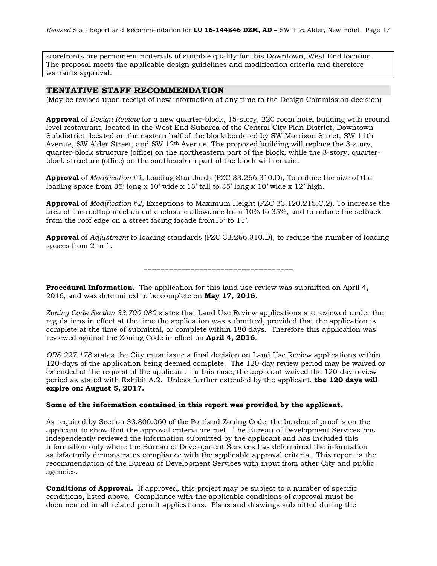storefronts are permanent materials of suitable quality for this Downtown, West End location. The proposal meets the applicable design guidelines and modification criteria and therefore warrants approval.

# **TENTATIVE STAFF RECOMMENDATION**

(May be revised upon receipt of new information at any time to the Design Commission decision)

**Approval** of *Design Review* for a new quarter-block, 15-story, 220 room hotel building with ground level restaurant, located in the West End Subarea of the Central City Plan District, Downtown Subdistrict, located on the eastern half of the block bordered by SW Morrison Street, SW 11th Avenue, SW Alder Street, and SW 12<sup>th</sup> Avenue. The proposed building will replace the 3-story, quarter-block structure (office) on the northeastern part of the block, while the 3-story, quarterblock structure (office) on the southeastern part of the block will remain.

**Approval** of *Modification #1,* Loading Standards (PZC 33.266.310.D), To reduce the size of the loading space from 35' long x 10' wide x 13' tall to 35' long x 10' wide x 12' high.

**Approval** of *Modification #2,* Exceptions to Maximum Height (PZC 33.120.215.C.2), To increase the area of the rooftop mechanical enclosure allowance from 10% to 35%, and to reduce the setback from the roof edge on a street facing façade from15' to 11'.

**Approval** of *Adjustment* to loading standards (PZC 33.266.310.D), to reduce the number of loading spaces from 2 to 1.

===================================

**Procedural Information.** The application for this land use review was submitted on April 4, 2016, and was determined to be complete on **May 17, 2016**.

*Zoning Code Section 33.700.080* states that Land Use Review applications are reviewed under the regulations in effect at the time the application was submitted, provided that the application is complete at the time of submittal, or complete within 180 days. Therefore this application was reviewed against the Zoning Code in effect on **April 4, 2016**.

*ORS 227.178* states the City must issue a final decision on Land Use Review applications within 120-days of the application being deemed complete. The 120-day review period may be waived or extended at the request of the applicant. In this case, the applicant waived the 120-day review period as stated with Exhibit A.2. Unless further extended by the applicant, **the 120 days will expire on: August 5, 2017.**

### **Some of the information contained in this report was provided by the applicant.**

As required by Section 33.800.060 of the Portland Zoning Code, the burden of proof is on the applicant to show that the approval criteria are met. The Bureau of Development Services has independently reviewed the information submitted by the applicant and has included this information only where the Bureau of Development Services has determined the information satisfactorily demonstrates compliance with the applicable approval criteria. This report is the recommendation of the Bureau of Development Services with input from other City and public agencies.

**Conditions of Approval.** If approved, this project may be subject to a number of specific conditions, listed above. Compliance with the applicable conditions of approval must be documented in all related permit applications. Plans and drawings submitted during the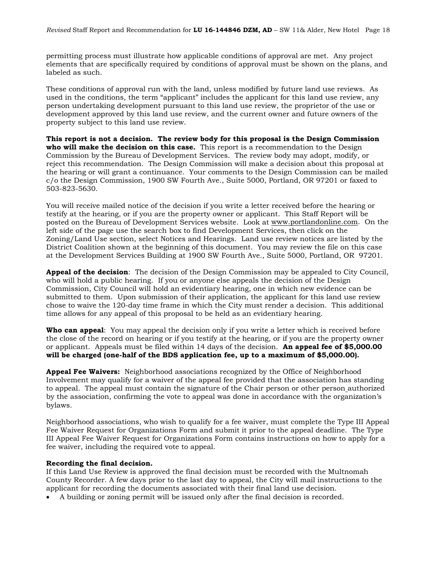permitting process must illustrate how applicable conditions of approval are met. Any project elements that are specifically required by conditions of approval must be shown on the plans, and labeled as such.

These conditions of approval run with the land, unless modified by future land use reviews. As used in the conditions, the term "applicant" includes the applicant for this land use review, any person undertaking development pursuant to this land use review, the proprietor of the use or development approved by this land use review, and the current owner and future owners of the property subject to this land use review.

**This report is not a decision. The review body for this proposal is the Design Commission who will make the decision on this case.** This report is a recommendation to the Design Commission by the Bureau of Development Services. The review body may adopt, modify, or reject this recommendation. The Design Commission will make a decision about this proposal at the hearing or will grant a continuance. Your comments to the Design Commission can be mailed c/o the Design Commission, 1900 SW Fourth Ave., Suite 5000, Portland, OR 97201 or faxed to 503-823-5630.

You will receive mailed notice of the decision if you write a letter received before the hearing or testify at the hearing, or if you are the property owner or applicant. This Staff Report will be posted on the Bureau of Development Services website. Look at [www.portlandonline.com.](http://www.portlandonline.com/) On the left side of the page use the search box to find Development Services, then click on the Zoning/Land Use section, select Notices and Hearings. Land use review notices are listed by the District Coalition shown at the beginning of this document. You may review the file on this case at the Development Services Building at 1900 SW Fourth Ave., Suite 5000, Portland, OR 97201.

**Appeal of the decision**: The decision of the Design Commission may be appealed to City Council, who will hold a public hearing. If you or anyone else appeals the decision of the Design Commission, City Council will hold an evidentiary hearing, one in which new evidence can be submitted to them. Upon submission of their application, the applicant for this land use review chose to waive the 120-day time frame in which the City must render a decision. This additional time allows for any appeal of this proposal to be held as an evidentiary hearing.

**Who can appeal**: You may appeal the decision only if you write a letter which is received before the close of the record on hearing or if you testify at the hearing, or if you are the property owner or applicant. Appeals must be filed within 14 days of the decision. **An appeal fee of \$5,000.00 will be charged (one-half of the BDS application fee, up to a maximum of \$5,000.00).**

**Appeal Fee Waivers:** Neighborhood associations recognized by the Office of Neighborhood Involvement may qualify for a waiver of the appeal fee provided that the association has standing to appeal. The appeal must contain the signature of the Chair person or other person authorized by the association, confirming the vote to appeal was done in accordance with the organization's bylaws.

Neighborhood associations, who wish to qualify for a fee waiver, must complete the Type III Appeal Fee Waiver Request for Organizations Form and submit it prior to the appeal deadline. The Type III Appeal Fee Waiver Request for Organizations Form contains instructions on how to apply for a fee waiver, including the required vote to appeal.

### **Recording the final decision.**

If this Land Use Review is approved the final decision must be recorded with the Multnomah County Recorder. A few days prior to the last day to appeal, the City will mail instructions to the applicant for recording the documents associated with their final land use decision.

• A building or zoning permit will be issued only after the final decision is recorded.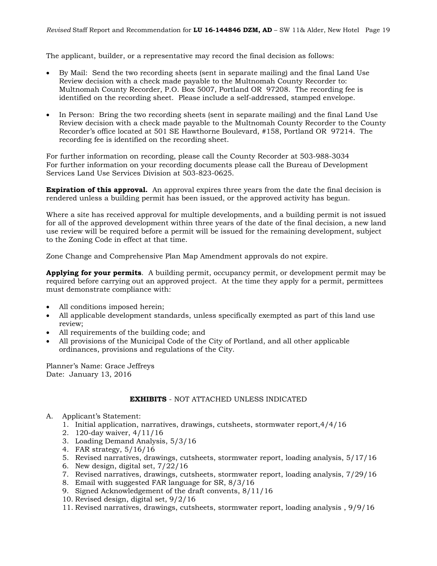The applicant, builder, or a representative may record the final decision as follows:

- By Mail: Send the two recording sheets (sent in separate mailing) and the final Land Use Review decision with a check made payable to the Multnomah County Recorder to: Multnomah County Recorder, P.O. Box 5007, Portland OR 97208. The recording fee is identified on the recording sheet. Please include a self-addressed, stamped envelope.
- In Person: Bring the two recording sheets (sent in separate mailing) and the final Land Use Review decision with a check made payable to the Multnomah County Recorder to the County Recorder's office located at 501 SE Hawthorne Boulevard, #158, Portland OR 97214. The recording fee is identified on the recording sheet.

For further information on recording, please call the County Recorder at 503-988-3034 For further information on your recording documents please call the Bureau of Development Services Land Use Services Division at 503-823-0625.

**Expiration of this approval.** An approval expires three years from the date the final decision is rendered unless a building permit has been issued, or the approved activity has begun.

Where a site has received approval for multiple developments, and a building permit is not issued for all of the approved development within three years of the date of the final decision, a new land use review will be required before a permit will be issued for the remaining development, subject to the Zoning Code in effect at that time.

Zone Change and Comprehensive Plan Map Amendment approvals do not expire.

**Applying for your permits**. A building permit, occupancy permit, or development permit may be required before carrying out an approved project. At the time they apply for a permit, permittees must demonstrate compliance with:

- All conditions imposed herein;
- All applicable development standards, unless specifically exempted as part of this land use review;
- All requirements of the building code; and
- All provisions of the Municipal Code of the City of Portland, and all other applicable ordinances, provisions and regulations of the City.

Planner's Name: Grace Jeffreys Date: January 13, 2016

### **EXHIBITS** - NOT ATTACHED UNLESS INDICATED

- A. Applicant's Statement:
	- 1. Initial application, narratives, drawings, cutsheets, stormwater report,4/4/16
	- 2. 120-day waiver, 4/11/16
	- 3. Loading Demand Analysis, 5/3/16
	- 4. FAR strategy, 5/16/16
	- 5. Revised narratives, drawings, cutsheets, stormwater report, loading analysis, 5/17/16
	- 6. New design, digital set, 7/22/16
	- 7. Revised narratives, drawings, cutsheets, stormwater report, loading analysis, 7/29/16
	- 8. Email with suggested FAR language for SR, 8/3/16
	- 9. Signed Acknowledgement of the draft convents, 8/11/16
	- 10. Revised design, digital set, 9/2/16
	- 11. Revised narratives, drawings, cutsheets, stormwater report, loading analysis , 9/9/16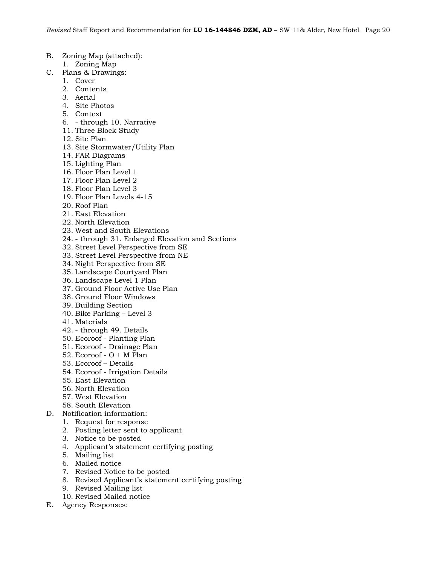- B. Zoning Map (attached):
	- 1. Zoning Map
- C. Plans & Drawings:
	- 1. Cover
	- 2. Contents
	- 3. Aerial
	- 4. Site Photos
	- 5. Context
	- 6. through 10. Narrative
	- 11. Three Block Study
	- 12. Site Plan
	- 13. Site Stormwater/Utility Plan
	- 14. FAR Diagrams
	- 15. Lighting Plan
	- 16. Floor Plan Level 1
	- 17. Floor Plan Level 2
	- 18. Floor Plan Level 3
	- 19. Floor Plan Levels 4-15
	- 20. Roof Plan
	- 21. East Elevation
	- 22. North Elevation
	- 23. West and South Elevations
	- 24. through 31. Enlarged Elevation and Sections
	- 32. Street Level Perspective from SE
	- 33. Street Level Perspective from NE
	- 34. Night Perspective from SE
	- 35. Landscape Courtyard Plan
	- 36. Landscape Level 1 Plan
	- 37. Ground Floor Active Use Plan
	- 38. Ground Floor Windows
	- 39. Building Section
	- 40. Bike Parking Level 3
	- 41. Materials
	- 42. through 49. Details
	- 50. Ecoroof Planting Plan
	- 51. Ecoroof Drainage Plan
	- 52. Ecoroof  $O + M$  Plan
	- 53. Ecoroof Details
	- 54. Ecoroof Irrigation Details
	- 55. East Elevation
	- 56. North Elevation
	- 57. West Elevation
	- 58. South Elevation
- D. Notification information:
	- 1. Request for response
	- 2. Posting letter sent to applicant
	- 3. Notice to be posted
	- 4. Applicant's statement certifying posting
	- 5. Mailing list
	- 6. Mailed notice
	- 7. Revised Notice to be posted
	- 8. Revised Applicant's statement certifying posting
	- 9. Revised Mailing list
	- 10. Revised Mailed notice
- E. Agency Responses: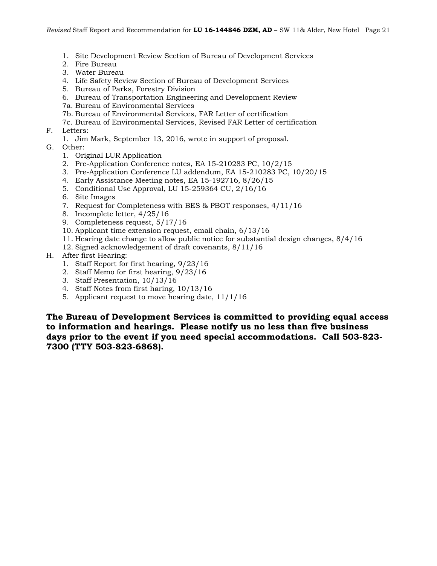- 1. Site Development Review Section of Bureau of Development Services
- 2. Fire Bureau
- 3. Water Bureau
- 4. Life Safety Review Section of Bureau of Development Services
- 5. Bureau of Parks, Forestry Division
- 6. Bureau of Transportation Engineering and Development Review
- 7a. Bureau of Environmental Services
- 7b. Bureau of Environmental Services, FAR Letter of certification
- 7c. Bureau of Environmental Services, Revised FAR Letter of certification
- F. Letters:
	- 1. Jim Mark, September 13, 2016, wrote in support of proposal.
- G. Other:
	- 1. Original LUR Application
	- 2. Pre-Application Conference notes, EA 15-210283 PC, 10/2/15
	- 3. Pre-Application Conference LU addendum, EA 15-210283 PC, 10/20/15
	- 4. Early Assistance Meeting notes, EA 15-192716, 8/26/15
	- 5. Conditional Use Approval, LU 15-259364 CU, 2/16/16
	- 6. Site Images
	- 7. Request for Completeness with BES & PBOT responses, 4/11/16
	- 8. Incomplete letter, 4/25/16
	- 9. Completeness request, 5/17/16
	- 10. Applicant time extension request, email chain, 6/13/16
	- 11. Hearing date change to allow public notice for substantial design changes, 8/4/16
	- 12. Signed acknowledgement of draft covenants, 8/11/16
- H. After first Hearing:
	- 1. Staff Report for first hearing, 9/23/16
	- 2. Staff Memo for first hearing, 9/23/16
	- 3. Staff Presentation, 10/13/16
	- 4. Staff Notes from first haring, 10/13/16
	- 5. Applicant request to move hearing date, 11/1/16

**The Bureau of Development Services is committed to providing equal access to information and hearings. Please notify us no less than five business days prior to the event if you need special accommodations. Call 503-823- 7300 (TTY 503-823-6868).**